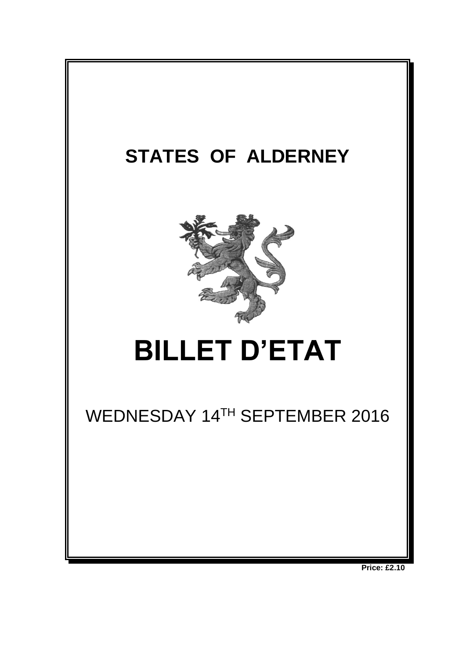

**Price: £2.10**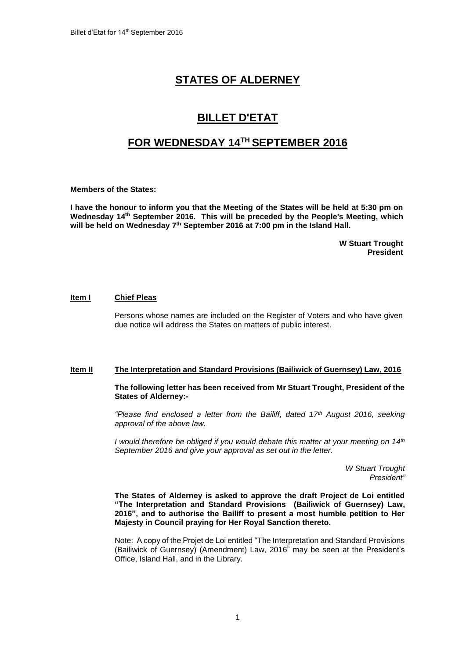# **STATES OF ALDERNEY**

## **BILLET D'ETAT**

# **FOR WEDNESDAY 14TH SEPTEMBER 2016**

**Members of the States:**

**I have the honour to inform you that the Meeting of the States will be held at 5:30 pm on Wednesday 14th September 2016. This will be preceded by the People's Meeting, which will be held on Wednesday 7 th September 2016 at 7:00 pm in the Island Hall.** 

> **W Stuart Trought President**

#### **Item I Chief Pleas**

Persons whose names are included on the Register of Voters and who have given due notice will address the States on matters of public interest.

### **Item II The Interpretation and Standard Provisions (Bailiwick of Guernsey) Law, 2016**

**The following letter has been received from Mr Stuart Trought, President of the States of Alderney:-**

*"Please find enclosed a letter from the Bailiff, dated 17th August 2016, seeking approval of the above law.* 

*I* would therefore be obliged if you would debate this matter at your meeting on 14<sup>th</sup> *September 2016 and give your approval as set out in the letter.* 

> *W Stuart Trought President"*

**The States of Alderney is asked to approve the draft Project de Loi entitled "The Interpretation and Standard Provisions (Bailiwick of Guernsey) Law, 2016", and to authorise the Bailiff to present a most humble petition to Her Majesty in Council praying for Her Royal Sanction thereto.**

Note: A copy of the Projet de Loi entitled "The Interpretation and Standard Provisions (Bailiwick of Guernsey) (Amendment) Law, 2016" may be seen at the President's Office, Island Hall, and in the Library.